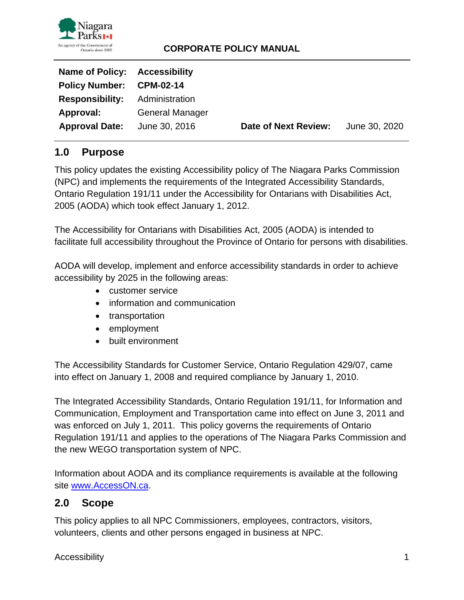

| Name of Policy: Accessibility |                        |                      |               |
|-------------------------------|------------------------|----------------------|---------------|
| Policy Number: CPM-02-14      |                        |                      |               |
| <b>Responsibility:</b>        | Administration         |                      |               |
| Approval:                     | <b>General Manager</b> |                      |               |
| <b>Approval Date:</b>         | June 30, 2016          | Date of Next Review: | June 30, 2020 |

# **1.0 Purpose**

This policy updates the existing Accessibility policy of The Niagara Parks Commission (NPC) and implements the requirements of the Integrated Accessibility Standards, Ontario Regulation 191/11 under the Accessibility for Ontarians with Disabilities Act, 2005 (AODA) which took effect January 1, 2012.

The Accessibility for Ontarians with Disabilities Act, 2005 (AODA) is intended to facilitate full accessibility throughout the Province of Ontario for persons with disabilities.

AODA will develop, implement and enforce accessibility standards in order to achieve accessibility by 2025 in the following areas:

- customer service
- information and communication
- transportation
- employment
- built environment

The Accessibility Standards for Customer Service, Ontario Regulation 429/07, came into effect on January 1, 2008 and required compliance by January 1, 2010.

The Integrated Accessibility Standards, Ontario Regulation 191/11, for Information and Communication, Employment and Transportation came into effect on June 3, 2011 and was enforced on July 1, 2011. This policy governs the requirements of Ontario Regulation 191/11 and applies to the operations of The Niagara Parks Commission and the new WEGO transportation system of NPC.

Information about AODA and its compliance requirements is available at the following site [www.AccessON.ca.](http://www.accesson.ca/)

# **2.0 Scope**

This policy applies to all NPC Commissioners, employees, contractors, visitors, volunteers, clients and other persons engaged in business at NPC.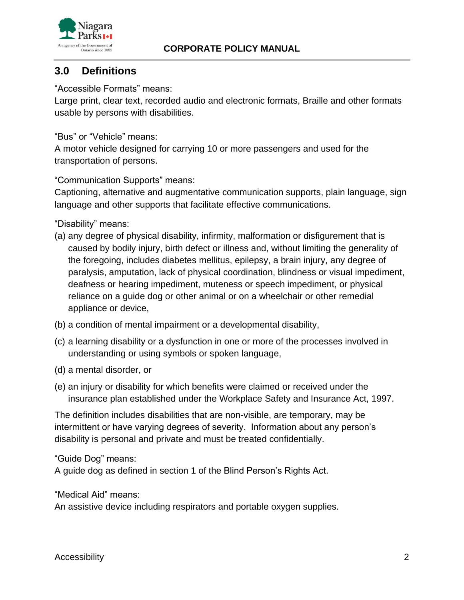

## **3.0 Definitions**

"Accessible Formats" means:

Large print, clear text, recorded audio and electronic formats, Braille and other formats usable by persons with disabilities.

"Bus" or "Vehicle" means:

A motor vehicle designed for carrying 10 or more passengers and used for the transportation of persons.

"Communication Supports" means:

Captioning, alternative and augmentative communication supports, plain language, sign language and other supports that facilitate effective communications.

"Disability" means:

- (a) any degree of physical disability, infirmity, malformation or disfigurement that is caused by bodily injury, birth defect or illness and, without limiting the generality of the foregoing, includes diabetes mellitus, epilepsy, a brain injury, any degree of paralysis, amputation, lack of physical coordination, blindness or visual impediment, deafness or hearing impediment, muteness or speech impediment, or physical reliance on a guide dog or other animal or on a wheelchair or other remedial appliance or device,
- (b) a condition of mental impairment or a developmental disability,
- (c) a learning disability or a dysfunction in one or more of the processes involved in understanding or using symbols or spoken language,
- (d) a mental disorder, or
- (e) an injury or disability for which benefits were claimed or received under the insurance plan established under the Workplace Safety and Insurance Act, 1997.

The definition includes disabilities that are non-visible, are temporary, may be intermittent or have varying degrees of severity. Information about any person's disability is personal and private and must be treated confidentially.

"Guide Dog" means:

A guide dog as defined in section 1 of the Blind Person's Rights Act.

"Medical Aid" means:

An assistive device including respirators and portable oxygen supplies.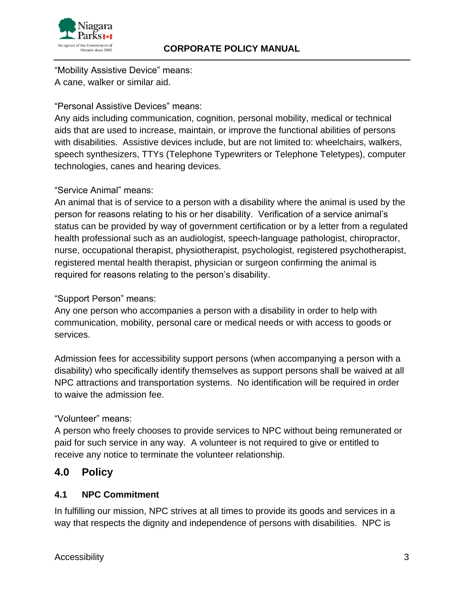

"Mobility Assistive Device" means: A cane, walker or similar aid.

#### "Personal Assistive Devices" means:

Any aids including communication, cognition, personal mobility, medical or technical aids that are used to increase, maintain, or improve the functional abilities of persons with disabilities. Assistive devices include, but are not limited to: wheelchairs, walkers, speech synthesizers, TTYs (Telephone Typewriters or Telephone Teletypes), computer technologies, canes and hearing devices.

#### "Service Animal" means:

An animal that is of service to a person with a disability where the animal is used by the person for reasons relating to his or her disability. Verification of a service animal's status can be provided by way of government certification or by a letter from a regulated health professional such as an audiologist, speech-language pathologist, chiropractor, nurse, occupational therapist, physiotherapist, psychologist, registered psychotherapist, registered mental health therapist, physician or surgeon confirming the animal is required for reasons relating to the person's disability.

#### "Support Person" means:

Any one person who accompanies a person with a disability in order to help with communication, mobility, personal care or medical needs or with access to goods or services.

Admission fees for accessibility support persons (when accompanying a person with a disability) who specifically identify themselves as support persons shall be waived at all NPC attractions and transportation systems. No identification will be required in order to waive the admission fee.

#### "Volunteer" means:

A person who freely chooses to provide services to NPC without being remunerated or paid for such service in any way. A volunteer is not required to give or entitled to receive any notice to terminate the volunteer relationship.

## **4.0 Policy**

#### **4.1 NPC Commitment**

In fulfilling our mission, NPC strives at all times to provide its goods and services in a way that respects the dignity and independence of persons with disabilities. NPC is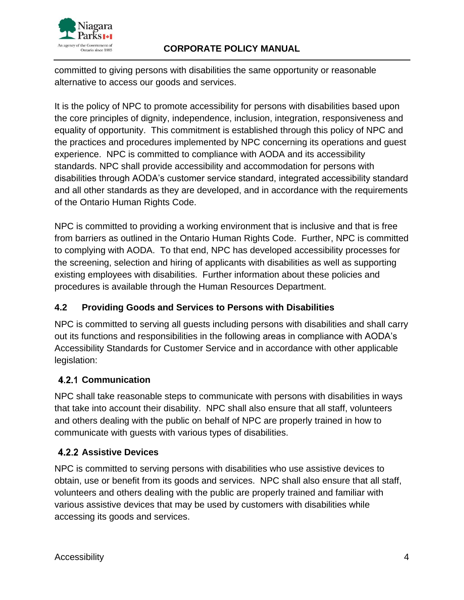

committed to giving persons with disabilities the same opportunity or reasonable alternative to access our goods and services.

It is the policy of NPC to promote accessibility for persons with disabilities based upon the core principles of dignity, independence, inclusion, integration, responsiveness and equality of opportunity. This commitment is established through this policy of NPC and the practices and procedures implemented by NPC concerning its operations and guest experience. NPC is committed to compliance with AODA and its accessibility standards. NPC shall provide accessibility and accommodation for persons with disabilities through AODA's customer service standard, integrated accessibility standard and all other standards as they are developed, and in accordance with the requirements of the Ontario Human Rights Code.

NPC is committed to providing a working environment that is inclusive and that is free from barriers as outlined in the Ontario Human Rights Code. Further, NPC is committed to complying with AODA. To that end, NPC has developed accessibility processes for the screening, selection and hiring of applicants with disabilities as well as supporting existing employees with disabilities. Further information about these policies and procedures is available through the Human Resources Department.

## **4.2 Providing Goods and Services to Persons with Disabilities**

NPC is committed to serving all guests including persons with disabilities and shall carry out its functions and responsibilities in the following areas in compliance with AODA's Accessibility Standards for Customer Service and in accordance with other applicable legislation:

## **4.2.1 Communication**

NPC shall take reasonable steps to communicate with persons with disabilities in ways that take into account their disability. NPC shall also ensure that all staff, volunteers and others dealing with the public on behalf of NPC are properly trained in how to communicate with guests with various types of disabilities.

## **4.2.2 Assistive Devices**

NPC is committed to serving persons with disabilities who use assistive devices to obtain, use or benefit from its goods and services. NPC shall also ensure that all staff, volunteers and others dealing with the public are properly trained and familiar with various assistive devices that may be used by customers with disabilities while accessing its goods and services.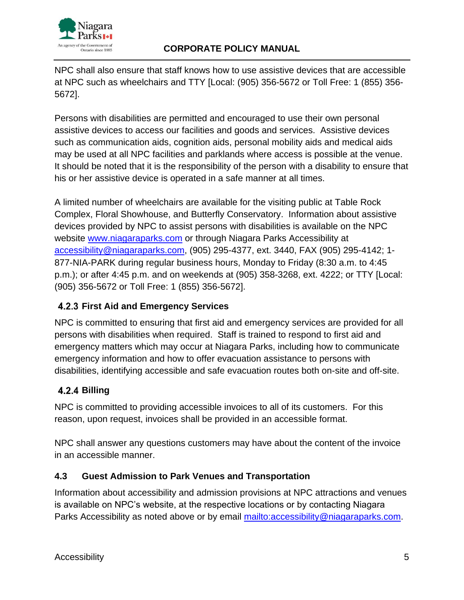

NPC shall also ensure that staff knows how to use assistive devices that are accessible at NPC such as wheelchairs and TTY [Local: (905) 356-5672 or Toll Free: 1 (855) 356- 5672].

Persons with disabilities are permitted and encouraged to use their own personal assistive devices to access our facilities and goods and services. Assistive devices such as communication aids, cognition aids, personal mobility aids and medical aids may be used at all NPC facilities and parklands where access is possible at the venue. It should be noted that it is the responsibility of the person with a disability to ensure that his or her assistive device is operated in a safe manner at all times.

A limited number of wheelchairs are available for the visiting public at Table Rock Complex, Floral Showhouse, and Butterfly Conservatory. Information about assistive devices provided by NPC to assist persons with disabilities is available on the NPC website [www.niagaraparks.com](http://www.niagaraparks.com/) or through Niagara Parks Accessibility at [accessibility@niagaraparks.com,](mailto:accessibility@niagaraparks.com) (905) 295-4377, ext. 3440, FAX (905) 295-4142; 1- 877-NIA-PARK during regular business hours, Monday to Friday (8:30 a.m. to 4:45 p.m.); or after 4:45 p.m. and on weekends at (905) 358-3268, ext. 4222; or TTY [Local: (905) 356-5672 or Toll Free: 1 (855) 356-5672].

## **First Aid and Emergency Services**

NPC is committed to ensuring that first aid and emergency services are provided for all persons with disabilities when required. Staff is trained to respond to first aid and emergency matters which may occur at Niagara Parks, including how to communicate emergency information and how to offer evacuation assistance to persons with disabilities, identifying accessible and safe evacuation routes both on-site and off-site.

# **Billing**

NPC is committed to providing accessible invoices to all of its customers. For this reason, upon request, invoices shall be provided in an accessible format.

NPC shall answer any questions customers may have about the content of the invoice in an accessible manner.

## **4.3 Guest Admission to Park Venues and Transportation**

Information about accessibility and admission provisions at NPC attractions and venues is available on NPC's website, at the respective locations or by contacting Niagara Parks Accessibility as noted above or by email mailto: accessibility@niagaraparks.com.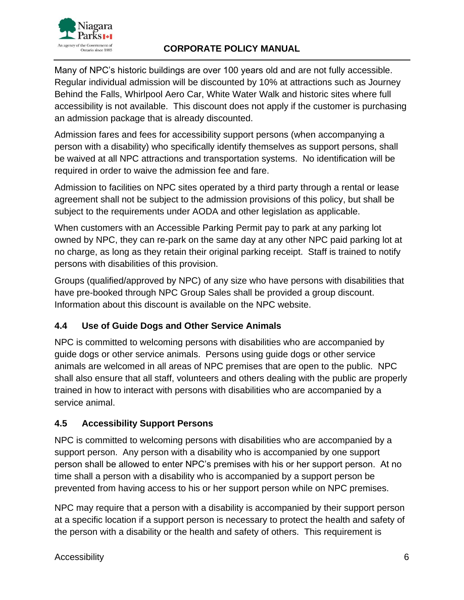

Many of NPC's historic buildings are over 100 years old and are not fully accessible. Regular individual admission will be discounted by 10% at attractions such as Journey Behind the Falls, Whirlpool Aero Car, White Water Walk and historic sites where full accessibility is not available. This discount does not apply if the customer is purchasing an admission package that is already discounted.

Admission fares and fees for accessibility support persons (when accompanying a person with a disability) who specifically identify themselves as support persons, shall be waived at all NPC attractions and transportation systems. No identification will be required in order to waive the admission fee and fare.

Admission to facilities on NPC sites operated by a third party through a rental or lease agreement shall not be subject to the admission provisions of this policy, but shall be subject to the requirements under AODA and other legislation as applicable.

When customers with an Accessible Parking Permit pay to park at any parking lot owned by NPC, they can re-park on the same day at any other NPC paid parking lot at no charge, as long as they retain their original parking receipt. Staff is trained to notify persons with disabilities of this provision.

Groups (qualified/approved by NPC) of any size who have persons with disabilities that have pre-booked through NPC Group Sales shall be provided a group discount. Information about this discount is available on the NPC website.

## **4.4 Use of Guide Dogs and Other Service Animals**

NPC is committed to welcoming persons with disabilities who are accompanied by guide dogs or other service animals. Persons using guide dogs or other service animals are welcomed in all areas of NPC premises that are open to the public. NPC shall also ensure that all staff, volunteers and others dealing with the public are properly trained in how to interact with persons with disabilities who are accompanied by a service animal.

## **4.5 Accessibility Support Persons**

NPC is committed to welcoming persons with disabilities who are accompanied by a support person. Any person with a disability who is accompanied by one support person shall be allowed to enter NPC's premises with his or her support person. At no time shall a person with a disability who is accompanied by a support person be prevented from having access to his or her support person while on NPC premises.

NPC may require that a person with a disability is accompanied by their support person at a specific location if a support person is necessary to protect the health and safety of the person with a disability or the health and safety of others. This requirement is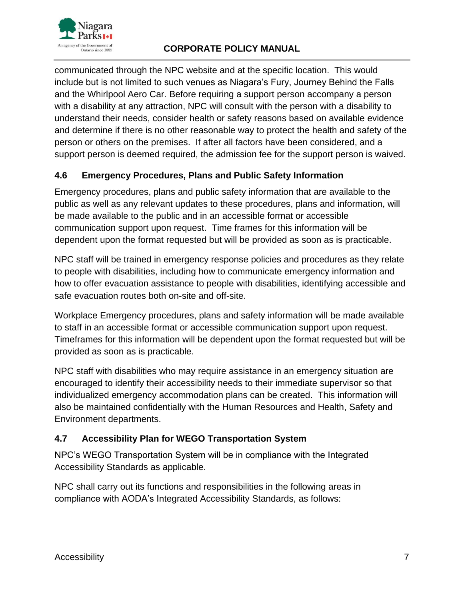

communicated through the NPC website and at the specific location. This would include but is not limited to such venues as Niagara's Fury, Journey Behind the Falls and the Whirlpool Aero Car. Before requiring a support person accompany a person with a disability at any attraction, NPC will consult with the person with a disability to understand their needs, consider health or safety reasons based on available evidence and determine if there is no other reasonable way to protect the health and safety of the person or others on the premises. If after all factors have been considered, and a support person is deemed required, the admission fee for the support person is waived.

## **4.6 Emergency Procedures, Plans and Public Safety Information**

Emergency procedures, plans and public safety information that are available to the public as well as any relevant updates to these procedures, plans and information, will be made available to the public and in an accessible format or accessible communication support upon request. Time frames for this information will be dependent upon the format requested but will be provided as soon as is practicable.

NPC staff will be trained in emergency response policies and procedures as they relate to people with disabilities, including how to communicate emergency information and how to offer evacuation assistance to people with disabilities, identifying accessible and safe evacuation routes both on-site and off-site.

Workplace Emergency procedures, plans and safety information will be made available to staff in an accessible format or accessible communication support upon request. Timeframes for this information will be dependent upon the format requested but will be provided as soon as is practicable.

NPC staff with disabilities who may require assistance in an emergency situation are encouraged to identify their accessibility needs to their immediate supervisor so that individualized emergency accommodation plans can be created. This information will also be maintained confidentially with the Human Resources and Health, Safety and Environment departments.

## **4.7 Accessibility Plan for WEGO Transportation System**

NPC's WEGO Transportation System will be in compliance with the Integrated Accessibility Standards as applicable.

NPC shall carry out its functions and responsibilities in the following areas in compliance with AODA's Integrated Accessibility Standards, as follows: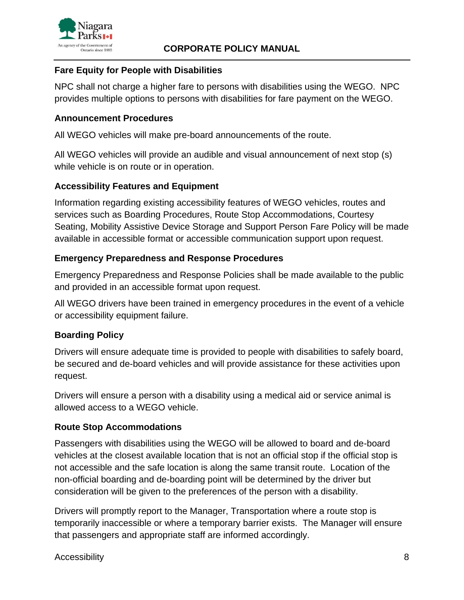

#### **Fare Equity for People with Disabilities**

NPC shall not charge a higher fare to persons with disabilities using the WEGO. NPC provides multiple options to persons with disabilities for fare payment on the WEGO.

### **Announcement Procedures**

All WEGO vehicles will make pre-board announcements of the route.

All WEGO vehicles will provide an audible and visual announcement of next stop (s) while vehicle is on route or in operation.

#### **Accessibility Features and Equipment**

Information regarding existing accessibility features of WEGO vehicles, routes and services such as Boarding Procedures, Route Stop Accommodations, Courtesy Seating, Mobility Assistive Device Storage and Support Person Fare Policy will be made available in accessible format or accessible communication support upon request.

### **Emergency Preparedness and Response Procedures**

Emergency Preparedness and Response Policies shall be made available to the public and provided in an accessible format upon request.

All WEGO drivers have been trained in emergency procedures in the event of a vehicle or accessibility equipment failure.

#### **Boarding Policy**

Drivers will ensure adequate time is provided to people with disabilities to safely board, be secured and de-board vehicles and will provide assistance for these activities upon request.

Drivers will ensure a person with a disability using a medical aid or service animal is allowed access to a WEGO vehicle.

#### **Route Stop Accommodations**

Passengers with disabilities using the WEGO will be allowed to board and de-board vehicles at the closest available location that is not an official stop if the official stop is not accessible and the safe location is along the same transit route. Location of the non-official boarding and de-boarding point will be determined by the driver but consideration will be given to the preferences of the person with a disability.

Drivers will promptly report to the Manager, Transportation where a route stop is temporarily inaccessible or where a temporary barrier exists. The Manager will ensure that passengers and appropriate staff are informed accordingly.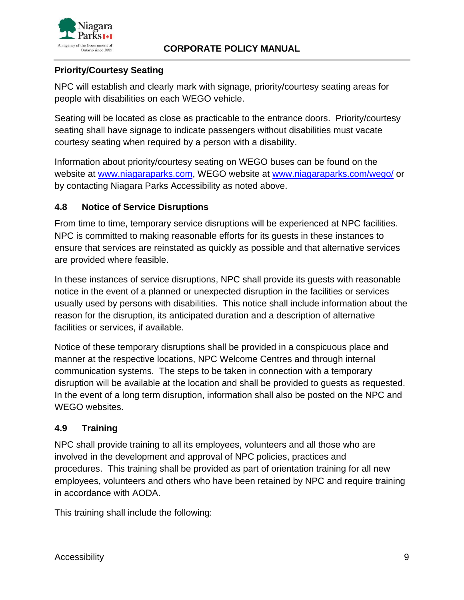

## **Priority/Courtesy Seating**

NPC will establish and clearly mark with signage, priority/courtesy seating areas for people with disabilities on each WEGO vehicle.

Seating will be located as close as practicable to the entrance doors. Priority/courtesy seating shall have signage to indicate passengers without disabilities must vacate courtesy seating when required by a person with a disability.

Information about priority/courtesy seating on WEGO buses can be found on the website at [www.niagaraparks.com,](http://www.niagaraparks.com/) WEGO website at [www.niagaraparks.com/wego/](http://www.niagaraparks.com/wego/) or by contacting Niagara Parks Accessibility as noted above.

#### **4.8 Notice of Service Disruptions**

From time to time, temporary service disruptions will be experienced at NPC facilities. NPC is committed to making reasonable efforts for its guests in these instances to ensure that services are reinstated as quickly as possible and that alternative services are provided where feasible.

In these instances of service disruptions, NPC shall provide its guests with reasonable notice in the event of a planned or unexpected disruption in the facilities or services usually used by persons with disabilities. This notice shall include information about the reason for the disruption, its anticipated duration and a description of alternative facilities or services, if available.

Notice of these temporary disruptions shall be provided in a conspicuous place and manner at the respective locations, NPC Welcome Centres and through internal communication systems. The steps to be taken in connection with a temporary disruption will be available at the location and shall be provided to guests as requested. In the event of a long term disruption, information shall also be posted on the NPC and WEGO websites.

#### **4.9 Training**

NPC shall provide training to all its employees, volunteers and all those who are involved in the development and approval of NPC policies, practices and procedures. This training shall be provided as part of orientation training for all new employees, volunteers and others who have been retained by NPC and require training in accordance with AODA.

This training shall include the following: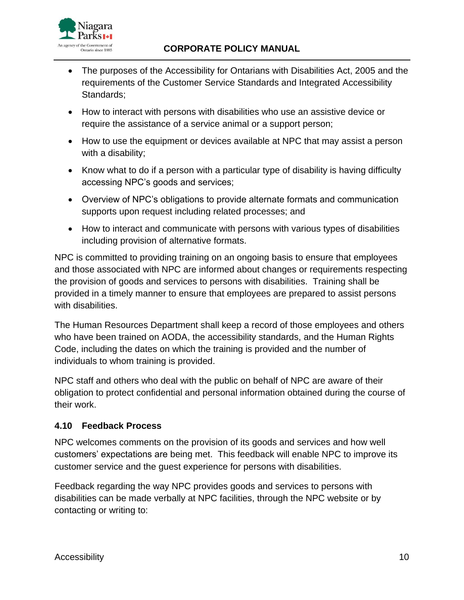

- The purposes of the Accessibility for Ontarians with Disabilities Act, 2005 and the requirements of the Customer Service Standards and Integrated Accessibility Standards;
- How to interact with persons with disabilities who use an assistive device or require the assistance of a service animal or a support person;
- How to use the equipment or devices available at NPC that may assist a person with a disability;
- Know what to do if a person with a particular type of disability is having difficulty accessing NPC's goods and services;
- Overview of NPC's obligations to provide alternate formats and communication supports upon request including related processes; and
- How to interact and communicate with persons with various types of disabilities including provision of alternative formats.

NPC is committed to providing training on an ongoing basis to ensure that employees and those associated with NPC are informed about changes or requirements respecting the provision of goods and services to persons with disabilities. Training shall be provided in a timely manner to ensure that employees are prepared to assist persons with disabilities.

The Human Resources Department shall keep a record of those employees and others who have been trained on AODA, the accessibility standards, and the Human Rights Code, including the dates on which the training is provided and the number of individuals to whom training is provided.

NPC staff and others who deal with the public on behalf of NPC are aware of their obligation to protect confidential and personal information obtained during the course of their work.

## **4.10 Feedback Process**

NPC welcomes comments on the provision of its goods and services and how well customers' expectations are being met. This feedback will enable NPC to improve its customer service and the guest experience for persons with disabilities.

Feedback regarding the way NPC provides goods and services to persons with disabilities can be made verbally at NPC facilities, through the NPC website or by contacting or writing to: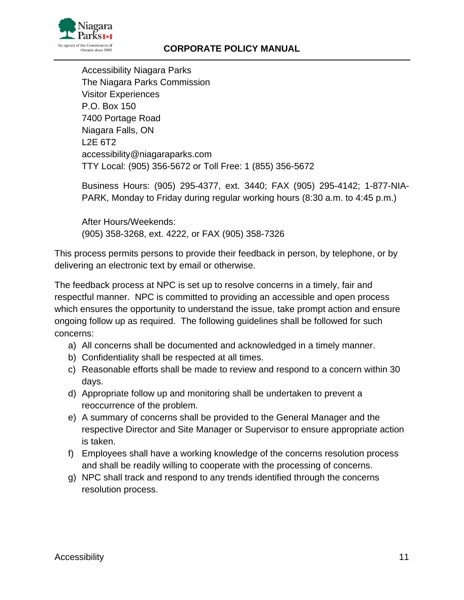

Accessibility Niagara Parks The Niagara Parks Commission Visitor Experiences P.O. Box 150 7400 Portage Road Niagara Falls, ON L2E 6T2 accessibility@niagaraparks.com TTY Local: (905) 356-5672 or Toll Free: 1 (855) 356-5672

Business Hours: (905) 295-4377, ext. 3440; FAX (905) 295-4142; 1-877-NIA-PARK, Monday to Friday during regular working hours (8:30 a.m. to 4:45 p.m.)

After Hours/Weekends: (905) 358-3268, ext. 4222, or FAX (905) 358-7326

This process permits persons to provide their feedback in person, by telephone, or by delivering an electronic text by email or otherwise.

The feedback process at NPC is set up to resolve concerns in a timely, fair and respectful manner. NPC is committed to providing an accessible and open process which ensures the opportunity to understand the issue, take prompt action and ensure ongoing follow up as required. The following guidelines shall be followed for such concerns:

- a) All concerns shall be documented and acknowledged in a timely manner.
- b) Confidentiality shall be respected at all times.
- c) Reasonable efforts shall be made to review and respond to a concern within 30 days.
- d) Appropriate follow up and monitoring shall be undertaken to prevent a reoccurrence of the problem.
- e) A summary of concerns shall be provided to the General Manager and the respective Director and Site Manager or Supervisor to ensure appropriate action is taken.
- f) Employees shall have a working knowledge of the concerns resolution process and shall be readily willing to cooperate with the processing of concerns.
- g) NPC shall track and respond to any trends identified through the concerns resolution process.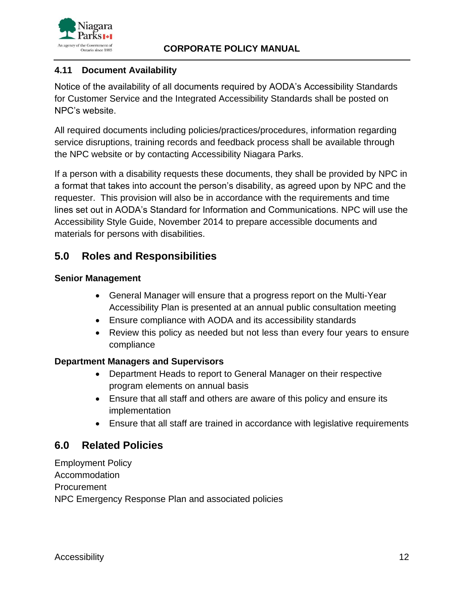



### **4.11 Document Availability**

Notice of the availability of all documents required by AODA's Accessibility Standards for Customer Service and the Integrated Accessibility Standards shall be posted on NPC's website.

All required documents including policies/practices/procedures, information regarding service disruptions, training records and feedback process shall be available through the NPC website or by contacting Accessibility Niagara Parks.

If a person with a disability requests these documents, they shall be provided by NPC in a format that takes into account the person's disability, as agreed upon by NPC and the requester. This provision will also be in accordance with the requirements and time lines set out in AODA's Standard for Information and Communications. NPC will use the Accessibility Style Guide, November 2014 to prepare accessible documents and materials for persons with disabilities.

# **5.0 Roles and Responsibilities**

#### **Senior Management**

- General Manager will ensure that a progress report on the Multi-Year Accessibility Plan is presented at an annual public consultation meeting
- Ensure compliance with AODA and its accessibility standards
- Review this policy as needed but not less than every four years to ensure compliance

#### **Department Managers and Supervisors**

- Department Heads to report to General Manager on their respective program elements on annual basis
- Ensure that all staff and others are aware of this policy and ensure its implementation
- Ensure that all staff are trained in accordance with legislative requirements

# **6.0 Related Policies**

Employment Policy Accommodation Procurement NPC Emergency Response Plan and associated policies